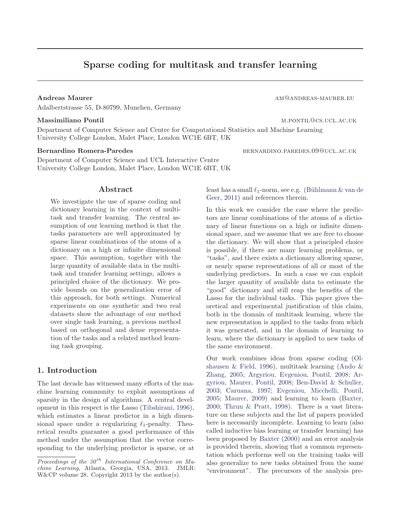# Sparse coding for multitask and transfer learning

Adalbertstrasse 55, D-80799, Munchen, Germany

Department of Computer Science and Centre for Computational Statistics and Machine Learning University College London, Malet Place, London WC1E 6BT, UK

Department of Computer Science and UCL Interactive Centre University College London, Malet Place, London WC1E 6BT, UK

### Abstract

We investigate the use of sparse coding and dictionary learning in the context of multitask and transfer learning. The central assumption of our learning method is that the tasks parameters are well approximated by sparse linear combinations of the atoms of a dictionary on a high or infinite dimensional space. This assumption, together with the large quantity of available data in the multitask and transfer learning settings, allows a principled choice of the dictionary. We provide bounds on the generalization error of this approach, for both settings. Numerical experiments on one synthetic and two real datasets show the advantage of our method over single task learning, a previous method based on orthogonal and dense representation of the tasks and a related method learning task grouping.

# 1. Introduction

The last decade has witnessed many efforts of the machine learning community to exploit assumptions of sparsity in the design of algorithms. A central development in this respect is the Lasso (Tibshirani, 1996), which estimates a linear predictor in a high dimensional space under a regularizing  $\ell_1$ -penalty. Theoretical results guarantee a good performance of this method under the assumption that the vector corresponding to the underlying predictor is sparse, or at

Andreas Maurer and american american control american american american american american american american american american american american american american american american american american american american americ

Massimiliano Pontil metal metal metal metal metal metal metal metal metal metal metal metal metal metal metal m

Bernardino Romera-Paredes bernardino.paredes bernardino.paredes bernardino.paredes bernardino.paredes bernardino.paredes bernardino.paredes bernardino.paredes bernardino.paredes bernardino.paredes bernardino.paredes bernar

least has a small  $\ell_1$ -norm, see e.g. (Bühlmann & van de Geer, 2011) and references therein.

In this work we consider the case where the predictors are linear combinations of the atoms of a dictionary of linear functions on a high or infinite dimensional space, and we assume that we are free to choose the dictionary. We will show that a principled choice is possible, if there are many learning problems, or "tasks", and there exists a dictionary allowing sparse, or nearly sparse representations of all or most of the underlying predictors. In such a case we can exploit the larger quantity of available data to estimate the "good" dictionary and still reap the benefits of the Lasso for the individual tasks. This paper gives theoretical and experimental justification of this claim, both in the domain of multitask learning, where the new representation is applied to the tasks from which it was generated, and in the domain of learning to learn, where the dictionary is applied to new tasks of the same environment.

Our work combines ideas from sparse coding (Olshausen & Field, 1996), multitask learning (Ando & Zhang, 2005; Argyriou, Evgeniou, Pontil, 2008; Argyriou, Maurer, Pontil, 2008; Ben-David & Schuller, 2003; Caruana, 1997; Evgeniou, Micchelli, Pontil, 2005; Maurer, 2009) and learning to learn (Baxter, 2000; Thrun & Pratt, 1998). There is a vast literature on these subjects and the list of papers provided here is necessarily incomplete. Learning to learn (also called inductive bias learning or transfer learning) has been proposed by Baxter (2000) and an error analysis is provided therein, showing that a common representation which performs well on the training tasks will also generalize to new tasks obtained from the same "environment". The precursors of the analysis pre-

*Proceedings of the 30<sup>th</sup> International Conference on Machine Learning*, Atlanta, Georgia, USA, 2013. JMLR: W&CP volume 28. Copyright 2013 by the author(s).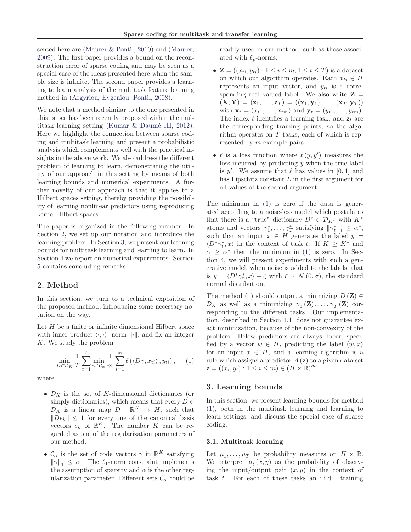sented here are (Maurer & Pontil, 2010) and (Maurer, 2009). The first paper provides a bound on the reconstruction error of sparse coding and may be seen as a special case of the ideas presented here when the sample size is infinite. The second paper provides a learning to learn analysis of the multitask feature learning method in (Argyriou, Evgeniou, Pontil, 2008).

We note that a method similar to the one presented in this paper has been recently proposed within the multitask learning setting (Kumar  $\&$  Daumé III, 2012). Here we highlight the connection between sparse coding and multitask learning and present a probabilistic analysis which complements well with the practical insights in the above work. We also address the different problem of learning to learn, demonstrating the utility of our approach in this setting by means of both learning bounds and numerical experiments. A further novelty of our approach is that it applies to a Hilbert spaces setting, thereby providing the possibility of learning nonlinear predictors using reproducing kernel Hilbert spaces.

The paper is organized in the following manner. In Section 2, we set up our notation and introduce the learning problem. In Section 3, we present our learning bounds for multitask learning and learning to learn. In Section 4 we report on numerical experiments. Section 5 contains concluding remarks.

# 2. Method

In this section, we turn to a technical exposition of the proposed method, introducing some necessary notation on the way.

Let  $H$  be a finite or infinite dimensional Hilbert space with inner product  $\langle \cdot, \cdot \rangle$ , norm  $\|\cdot\|$ , and fix an integer K. We study the problem

$$
\min_{D \in \mathcal{D}_K} \frac{1}{T} \sum_{t=1}^T \min_{\gamma \in \mathcal{C}_\alpha} \frac{1}{m} \sum_{i=1}^m \ell(\langle D\gamma, x_{ti} \rangle, y_{ti}), \quad (1)
$$

where

- $\mathcal{D}_K$  is the set of K-dimensional dictionaries (or simply dictionaries), which means that every  $D \in$  $\mathcal{D}_K$  is a linear map  $D : \mathbb{R}^K \to H$ , such that  $\|De_k\| \leq 1$  for every one of the canonical basis vectors  $e_k$  of  $\mathbb{R}^K$ . The number K can be regarded as one of the regularization parameters of our method.
- $\mathcal{C}_{\alpha}$  is the set of code vectors  $\gamma$  in  $\mathbb{R}^K$  satisfying  $\|\gamma\|_1 \leq \alpha$ . The  $\ell_1$ -norm constraint implements the assumption of sparsity and  $\alpha$  is the other regularization parameter. Different sets  $\mathcal{C}_{\alpha}$  could be

readily used in our method, such as those associated with  $\ell_p$ -norms.

- $\mathbf{Z} = ((x_{ti}, y_{ti}) : 1 \leq i \leq m, 1 \leq t \leq T)$  is a dataset on which our algorithm operates. Each  $x_{ti} \in H$ represents an input vector, and  $y_{ti}$  is a corresponding real valued label. We also write  $Z =$  $(X, Y) = (z_1, \ldots, z_T) = ((x_1, y_1), \ldots, (x_T, y_T))$ with  $\mathbf{x}_t = (x_{t1},...,x_{tm})$  and  $\mathbf{y}_t = (y_{t1},...,y_{tm})$ . The index t identifies a learning task, and  $z_t$  are the corresponding training points, so the algorithm operates on  $T$  tasks, each of which is represented by m example pairs.
- $\ell$  is a loss function where  $\ell(y, y')$  measures the loss incurred by predicting  $y$  when the true label is  $y'$ . We assume that  $\ell$  has values in [0, 1] and has Lipschitz constant L in the first argument for all values of the second argument.

The minimum in (1) is zero if the data is generated according to a noise-less model which postulates that there is a "true" dictionary  $D^* \in \mathcal{D}_{K^*}$  with  $K^*$ atoms and vectors  $\gamma_1^*, \ldots, \gamma_T^*$  satisfying  $\|\gamma_t^*\|_1 \leq \alpha^*$ , such that an input  $x \in H$  generates the label  $y =$  $\langle D^*\gamma^*_t, x \rangle$  in the context of task t. If  $K \geq K^*$  and  $\alpha \geq \alpha^*$  then the minimum in (1) is zero. In Section 4, we will present experiments with such a generative model, when noise is added to the labels, that is  $y = \langle D^*\gamma_t^*, x \rangle + \zeta$  with  $\zeta \sim \mathcal{N}(0, \sigma)$ , the standard normal distribution.

The method (1) should output a minimizing  $D(\mathbf{Z}) \in$  $\mathcal{D}_K$  as well as a minimizing  $\gamma_1(\mathbf{Z}), \ldots, \gamma_T(\mathbf{Z})$  corresponding to the different tasks. Our implementation, described in Section 4.1, does not guarantee exact minimization, because of the non-convexity of the problem. Below predictors are always linear, specified by a vector  $w \in H$ , predicting the label  $\langle w, x \rangle$ for an input  $x \in H$ , and a learning algorithm is a rule which assigns a predictor  $A(\mathbf{z})$  to a given data set  $\mathbf{z} = ((x_i, y_i) : 1 \leq i \leq m) \in (H \times \mathbb{R})^m.$ 

# 3. Learning bounds

In this section, we present learning bounds for method (1), both in the multitask learning and learning to learn settings, and discuss the special case of sparse coding.

#### 3.1. Multitask learning

Let  $\mu_1, \ldots, \mu_T$  be probability measures on  $H \times \mathbb{R}$ . We interpret  $\mu_t(x, y)$  as the probability of observing the input/output pair  $(x, y)$  in the context of task  $t$ . For each of these tasks an i.i.d. training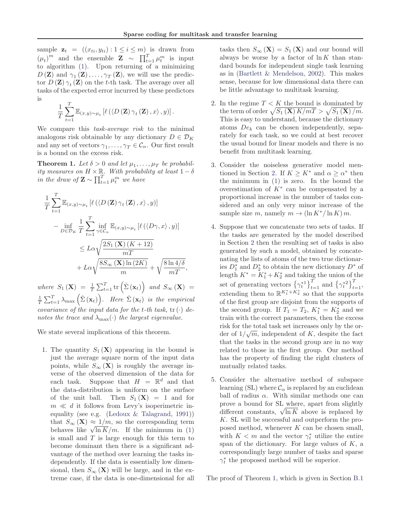sample  $\mathbf{z}_t = ((x_{ti}, y_{ti}) : 1 \le i \le m)$  is drawn from  $(\mu_t)^m$  and the ensemble  $\mathbf{Z} \sim \prod_{t=1}^T \mu_t^m$  is input to algorithm (1). Upon returning of a minimizing  $D(\mathbf{Z})$  and  $\gamma_1(\mathbf{Z}), \ldots, \gamma_T(\mathbf{Z}),$  we will use the predictor  $D(\mathbf{Z})\gamma_t(\mathbf{Z})$  on the t-th task. The average over all tasks of the expected error incurred by these predictors is

$$
\frac{1}{T} \sum_{t=1}^{T} \mathbb{E}_{(x,y)\sim\mu_t} \left[ \ell \left( \left\langle D\left(\mathbf{Z}\right) \gamma_t\left(\mathbf{Z}\right), x \right\rangle, y \right) \right].
$$

We compare this *task-average risk* to the minimal analogous risk obtainable by any dictionary  $D \in \mathcal{D}_K$ and any set of vectors  $\gamma_1, \ldots, \gamma_T \in \mathcal{C}_{\alpha}$ . Our first result is a bound on the excess risk.

**Theorem 1.** Let  $\delta > 0$  and let  $\mu_1, \ldots, \mu_T$  be probabil*ity measures on*  $H \times \mathbb{R}$ *. With probability at least*  $1 - \delta$ *in the draw of*  $\mathbf{Z} \sim \prod_{t=1}^{T} \mu_t^m$  *we have* 

$$
\frac{1}{T} \sum_{t=1}^{T} \mathbb{E}_{(x,y)\sim\mu_t} \left[ \ell \left( \left\langle D\left(\mathbf{Z}\right) \gamma_t \left(\mathbf{Z}\right), x \right\rangle, y \right) \right] \n- \inf_{D \in \mathcal{D}_K} \frac{1}{T} \sum_{t=1}^{T} \inf_{\gamma \in \mathcal{C}_{\alpha}} \mathbb{E}_{(x,y)\sim\mu_t} \left[ \ell \left( \left\langle D\gamma, x \right\rangle, y \right) \right] \n\leq L\alpha \sqrt{\frac{2S_1 \left(\mathbf{X}\right) \left(K+12\right)}{mT}} \n+ L\alpha \sqrt{\frac{8S_\infty \left(\mathbf{X}\right) \ln\left(2K\right)}{m}} + \sqrt{\frac{8\ln 4/\delta}{mT}},
$$

where  $S_1(\mathbf{X}) = \frac{1}{T} \sum_{t=1}^T \text{tr} \left( \hat{\Sigma} (\mathbf{x}_t) \right)$  and  $S_{\infty}(\mathbf{X}) =$  $\frac{1}{T} \sum_{t=1}^{T} \lambda_{\max} \left( \hat{\Sigma} \left( \mathbf{x}_t \right) \right)$ *. Here*  $\hat{\Sigma} \left( \mathbf{x}_t \right)$  *is the empirical covariance of the input data for the t-th task,*  $tr(\cdot)$  *denotes the trace and*  $\lambda_{\max}(\cdot)$  *the largest eigenvalue.* 

We state several implications of this theorem.

1. The quantity  $S_1(\mathbf{X})$  appearing in the bound is just the average square norm of the input data points, while  $S_{\infty}(\mathbf{X})$  is roughly the average inverse of the observed dimension of the data for each task. Suppose that  $H = \mathbb{R}^d$  and that the data-distribution is uniform on the surface of the unit ball. Then  $S_1(\mathbf{X}) = 1$  and for  $m \ll d$  it follows from Levy's isoperimetric inequality (see e.g. (Ledoux & Talagrand, 1991)) that  $S_{\infty}(\mathbf{X}) \approx 1/m$ , so the corresponding term behaves like  $\sqrt{\ln K/m}$ . If the minimum in (1) is small and  $T$  is large enough for this term to become dominant then there is a significant advantage of the method over learning the tasks independently. If the data is essentially low dimensional, then  $S_{\infty}(\mathbf{X})$  will be large, and in the extreme case, if the data is one-dimensional for all

tasks then  $S_{\infty}(\mathbf{X}) = S_1(\mathbf{X})$  and our bound will always be worse by a factor of  $\ln K$  than standard bounds for independent single task learning as in (Bartlett & Mendelson, 2002). This makes sense, because for low dimensional data there can be little advantage to multitask learning.

- 2. In the regime  $T < K$  the bound is dominated by the term of order  $\sqrt{S_1 (\mathbf{X}) K/mT} > \sqrt{S_1 (\mathbf{X})/m}.$ This is easy to understand, because the dictionary atoms  $De_k$  can be chosen independently, separately for each task, so we could at best recover the usual bound for linear models and there is no benefit from multitask learning.
- 3. Consider the noiseless generative model mentioned in Section 2. If  $K \geq K^*$  and  $\alpha \geq \alpha^*$  then the minimum in (1) is zero. In the bound the overestimation of  $K^*$  can be compensated by a proportional increase in the number of tasks considered and an only very minor increase of the sample size m, namely  $m \to (\ln K^* / \ln K) m$ .
- 4. Suppose that we concatenate two sets of tasks. If the tasks are generated by the model described in Section 2 then the resulting set of tasks is also generated by such a model, obtained by concatenating the lists of atoms of the two true dictionaries  $D_1^*$  and  $D_2^*$  to obtain the new dictionary  $D^*$  of length  $K^* = K_1^* + K_2^*$  and taking the union of the set of generating vectors  $\left\{\gamma_t^{*1}\right\}_{t=1}^T$  and  $\left\{\gamma_t^{*2}\right\}_{t=1}^T$ , extending them to  $\mathbb{R}^{K_1^*+K_2^*}$  so that the supports of the first group are disjoint from the supports of the second group. If  $T_1 = T_2$ ,  $K_1^* = K_2^*$  and we train with the correct parameters, then the excess risk for the total task set increases only by the order of  $1/\sqrt{m}$ , independent of K, despite the fact that the tasks in the second group are in no way related to those in the first group. Our method has the property of finding the right clusters of mutually related tasks.
- 5. Consider the alternative method of subspace learning (SL) where  $\mathcal{C}_{\alpha}$  is replaced by an euclidean ball of radius  $\alpha$ . With similar methods one can prove a bound for SL where, apart from slightly different constants,  $\sqrt{\ln K}$  above is replaced by K. SL will be successful and outperform the proposed method, whenever  $K$  can be chosen small, with  $K < m$  and the vector  $\gamma_t^*$  utilize the entire span of the dictionary. For large values of  $K$ , a correspondingly large number of tasks and sparse  $\gamma_t^*$  the proposed method will be superior.

The proof of Theorem 1, which is given in Section B.1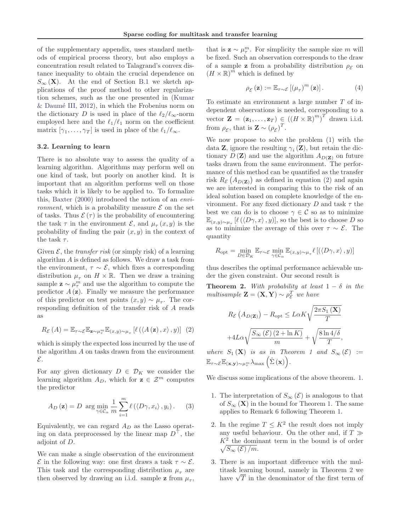of the supplementary appendix, uses standard methods of empirical process theory, but also employs a concentration result related to Talagrand's convex distance inequality to obtain the crucial dependence on  $S_{\infty}(\mathbf{X})$ . At the end of Section B.1 we sketch applications of the proof method to other regularization schemes, such as the one presented in (Kumar  $&$  Daumé III, 2012), in which the Frobenius norm on the dictionary D is used in place of the  $\ell_2/\ell_\infty$ -norm employed here and the  $\ell_1/\ell_1$  norm on the coefficient matrix  $[\gamma_1, \ldots, \gamma_T]$  is used in place of the  $\ell_1/\ell_{\infty}$ .

# 3.2. Learning to learn

There is no absolute way to assess the quality of a learning algorithm. Algorithms may perform well on one kind of task, but poorly on another kind. It is important that an algorithm performs well on those tasks which it is likely to be applied to. To formalize this, Baxter (2000) introduced the notion of an *environment*, which is a probability measure  $\mathcal E$  on the set of tasks. Thus  $\mathcal{E}(\tau)$  is the probability of encountering the task  $\tau$  in the environment  $\mathcal{E}$ , and  $\mu_{\tau}(x, y)$  is the probability of finding the pair  $(x, y)$  in the context of the task  $\tau$ .

Given  $\mathcal{E}$ , the *transfer risk* (or simply risk) of a learning algorithm A is defined as follows. We draw a task from the environment,  $\tau \sim \mathcal{E}$ , which fixes a corresponding distribution  $\mu_{\tau}$  on  $H \times \mathbb{R}$ . Then we draw a training sample  $\mathbf{z} \sim \mu_{\tau}^{m}$  and use the algorithm to compute the predictor  $A(\mathbf{z})$ . Finally we measure the performance of this predictor on test points  $(x, y) \sim \mu_{\tau}$ . The corresponding definition of the transfer risk of A reads as

$$
R_{\mathcal{E}}(A) = \mathbb{E}_{\tau \sim \mathcal{E}} \mathbb{E}_{\mathbf{z} \sim \mu_{\tau}^m} \mathbb{E}_{(x,y) \sim \mu_{\tau}} \left[ \ell \left( \langle A \left( \mathbf{z} \right), x \rangle, y \right) \right] \tag{2}
$$

which is simply the expected loss incurred by the use of the algorithm  $A$  on tasks drawn from the environment E.

For any given dictionary  $D \in \mathcal{D}_K$  we consider the learning algorithm  $A_D$ , which for  $z \in \mathcal{Z}^m$  computes the predictor

$$
A_D(\mathbf{z}) = D \arg \min_{\gamma \in \mathcal{C}_{\alpha}} \frac{1}{m} \sum_{i=1}^{m} \ell(\langle D\gamma, x_i \rangle, y_i).
$$
 (3)

Equivalently, we can regard  $A_D$  as the Lasso operating on data preprocessed by the linear map  $D^{\perp}$ , the adjoint of D.

We can make a single observation of the environment E in the following way: one first draws a task τ ∼ E. This task and the corresponding distribution  $\mu_{\tau}$  are then observed by drawing an i.i.d. sample **z** from  $\mu_{\tau}$ ,

that is  $\mathbf{z} \sim \mu_{\tau}^{m}$ . For simplicity the sample size m will be fixed. Such an observation corresponds to the draw of a sample **z** from a probability distribution  $\rho_{\mathcal{E}}$  on  $(H \times \mathbb{R})^m$  which is defined by

$$
\rho_{\mathcal{E}}\left(\mathbf{z}\right) := \mathbb{E}_{\tau \sim \mathcal{E}}\left[\left(\mu_{\tau}\right)^{m}\left(\mathbf{z}\right)\right].\tag{4}
$$

To estimate an environment a large number T of independent observations is needed, corresponding to a vector  $\mathbf{Z} = (\mathbf{z}_1, \dots, \mathbf{z}_T) \in ((H \times \mathbb{R})^m)^T$  drawn i.i.d. from  $\rho_{\mathcal{E}}$ , that is  $\mathbf{Z} \sim (\rho_{\mathcal{E}})^T$ .

We now propose to solve the problem (1) with the data **Z**, ignore the resulting  $\gamma_i$  (**Z**), but retain the dictionary  $D(\mathbf{Z})$  and use the algorithm  $A_{D(\mathbf{Z})}$  on future tasks drawn from the same environment. The performance of this method can be quantified as the transfer risk  $R_{\mathcal{E}}(A_{D(\mathbf{Z})})$  as defined in equation (2) and again we are interested in comparing this to the risk of an ideal solution based on complete knowledge of the environment. For any fixed dictionary D and task  $\tau$  the best we can do is to choose  $\gamma \in \mathcal{C}$  so as to minimize  $\mathbb{E}_{(x,y)\sim\mu_{\tau}}$  [ $\ell(\langle D\gamma, x\rangle, y)$ ], so the best is to choose D so as to minimize the average of this over  $\tau \sim \mathcal{E}$ . The quantity

$$
R_{\rm opt} = \min_{D \in \mathcal{D}_K} \mathbb{E}_{\tau \sim \mathcal{E}} \min_{\gamma \in \mathcal{C}_{\alpha}} \mathbb{E}_{(x,y) \sim \mu_{\tau}} \ell \left[ \left( \langle D\gamma, x \rangle, y \right) \right]
$$

thus describes the optimal performance achievable under the given constraint. Our second result is

**Theorem 2.** *With probability at least*  $1 - \delta$  *in the multisample*  $\mathbf{Z} = (\mathbf{X}, \mathbf{Y}) \sim \rho_{\mathcal{E}}^T$  *we have* 

$$
R_{\mathcal{E}}(A_{D(\mathbf{Z})}) - R_{\text{opt}} \leq L\alpha K \sqrt{\frac{2\pi S_1(\mathbf{X})}{T}}
$$

$$
+ 4L\alpha \sqrt{\frac{S_{\infty}(\mathcal{E})(2 + \ln K)}{m}} + \sqrt{\frac{8\ln 4/\delta}{T}},
$$

*where*  $S_1(\mathbf{X})$  *is as in Theorem 1 and*  $S_\infty(\mathcal{E}) :=$  $\mathbb{E}_{\tau\sim\mathcal{E}}\mathbb{E}_{(\mathbf{x},\mathbf{y})\sim\mu_{\tau}^m} \lambda_{\max}\left(\hat{\Sigma}\left(\mathbf{x}\right)\right)$  .

We discuss some implications of the above theorem. 1.

- 1. The interpretation of  $S_{\infty}(\mathcal{E})$  is analogous to that of  $S_{\infty}(\mathbf{X})$  in the bound for Theorem 1. The same applies to Remark 6 following Theorem 1.
- 2. In the regime  $T \leq K^2$  the result does not imply any useful behaviour. On the other and, if  $T \gg$  $K^2$  the dominant term in the bound is of order  $\sqrt{S_{\infty}(\mathcal{E})/m}.$
- 3. There is an important difference with the multitask learning bound, namely in Theorem 2 we have  $\sqrt{T}$  in the denominator of the first term of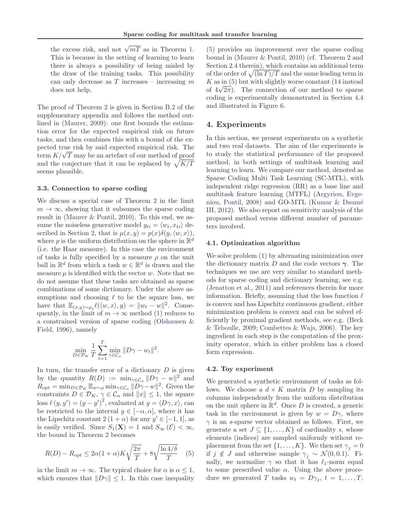the excess risk, and not  $\sqrt{mT}$  as in Theorem 1. This is because in the setting of learning to learn there is always a possibility of being misled by the draw of the training tasks. This possibility can only decrease as  $T$  increases – increasing  $m$ does not help.

The proof of Theorem 2 is given in Section B.2 of the supplementary appendix and follows the method outlined in (Maurer, 2009): one first bounds the estimation error for the expected empirical risk on future tasks, and then combines this with a bound of the expected true risk by said expected empirical risk. The  $t_{\text{term}} K/\sqrt{T}$  may be an artefact of our method of proof and the conjecture that it can be replaced by  $\sqrt{K/T}$ seems plausible.

### 3.3. Connection to sparse coding

We discuss a special case of Theorem 2 in the limit  $m \to \infty$ , showing that it subsumes the sparse coding result in (Maurer & Pontil, 2010). To this end, we assume the noiseless generative model  $y_{ti} = \langle w_t, x_{ti} \rangle$  described in Section 2, that is  $\mu(x, y) = p(x)\delta(y, \langle w, x \rangle)$ , where p is the uniform distribution on the sphere in  $\mathbb{R}^d$ (i.e. the Haar measure). In this case the environment of tasks is fully specified by a measure  $\rho$  on the unit ball in  $\mathbb{R}^d$  from which a task  $w \in \mathbb{R}^d$  is drawn and the measure  $\mu$  is identified with the vector w. Note that we do not assume that these tasks are obtained as sparse combinations of some dictionary. Under the above assumptions and choosing  $\ell$  to be the square loss, we have that  $\mathbb{E}_{(x,y)\sim\mu_t} \ell(\langle w, x \rangle, y) = ||w_t - w||^2$ . Consequently, in the limit of  $m \to \infty$  method (1) reduces to a constrained version of sparse coding (Olshausen & Field, 1996), namely

$$
\min_{D \in \mathcal{D}_K} \frac{1}{T} \sum_{t=1}^T \min_{\gamma \in \mathcal{C}_{\alpha}} \|D\gamma - w_t\|^2.
$$

In turn, the transfer error of a dictionary  $D$  is given by the quantity  $R(D) := \min_{\gamma \in \mathcal{C}_{\alpha}} ||D\gamma - w||^2$  and  $R_{\text{opt}} = \min_{D \in \mathcal{D}_K} \mathbb{E}_{w \sim \rho} \min_{\gamma \in \mathcal{C}_\alpha} ||D\gamma - w||^2$ . Given the constraints  $D \in \mathcal{D}_K$ ,  $\gamma \in \mathcal{C}_{\alpha}$  and  $||x|| \leq 1$ , the square loss  $\ell(y, y') = (y - y')^2$ , evaluated at  $y = \langle D\gamma, x \rangle$ , can be restricted to the interval  $y \in [-\alpha, \alpha]$ , where it has the Lipschitz constant  $2(1+\alpha)$  for any  $y' \in [-1,1]$ , as is easily verified. Since  $S_1(\mathbf{X}) = 1$  and  $S_{\infty}(\mathcal{E}) < \infty$ , the bound in Theorem 2 becomes

$$
R(D) - R_{\rm opt} \le 2\alpha (1+\alpha) K \sqrt{\frac{2\pi}{T}} + 8\sqrt{\frac{\ln 4/\delta}{T}} \quad (5)
$$

in the limit  $m \to \infty$ . The typical choice for  $\alpha$  is  $\alpha \leq 1$ , which ensures that  $||D\gamma|| \leq 1$ . In this case inequality

(5) provides an improvement over the sparse coding bound in (Maurer & Pontil, 2010) (cf. Theorem 2 and Section 2.4 therein), which contains an additional term of the order of  $\sqrt{\ln T/T}$  and the same leading term in  $K$  as in  $(5)$  but with slightly worse constant  $(14 \text{ instead})$ of  $4\sqrt{2\pi}$ ). The connection of our method to sparse coding is experimentally demonstrated in Section 4.4 and illustrated in Figure 6.

# 4. Experiments

In this section, we present experiments on a synthetic and two real datasets. The aim of the experiments is to study the statistical performance of the proposed method, in both settings of multitask learning and learning to learn. We compare our method, denoted as Sparse Coding Multi Task Learning (SC-MTL), with independent ridge regression (RR) as a base line and multitask feature learning (MTFL) (Argyriou, Evgeniou, Pontil,  $2008$ ) and GO-MTL (Kumar & Daumé III, 2012). We also report on sensitivity analysis of the proposed method versus different number of parameters involved.

#### 4.1. Optimization algorithm

We solve problem (1) by alternating minimization over the dictionary matrix D and the code vectors  $\gamma$ . The techniques we use are very similar to standard methods for sparse coding and dictionary learning, see e.g. (Jenatton et al., 2011) and references therein for more information. Briefly, assuming that the loss function  $\ell$ is convex and has Lipschitz continuous gradient, either minimization problem is convex and can be solved efficiently by proximal gradient methods, see e.g. (Beck & Teboulle, 2009; Combettes & Wajs, 2006). The key ingredient in each step is the computation of the proximity operator, which in either problem has a closed form expression.

### 4.2. Toy experiment

We generated a synthetic environment of tasks as follows. We choose a  $d \times K$  matrix D by sampling its columns independently from the uniform distribution on the unit sphere in  $\mathbb{R}^d$ . Once D is created, a generic task in the environment is given by  $w = D\gamma$ , where  $\gamma$  is an s-sparse vector obtained as follows. First, we generate a set  $J \subseteq \{1, \ldots, K\}$  of cardinality s, whose elements (indices) are sampled uniformly without replacement from the set  $\{1, \ldots, K\}$ . We then set  $\gamma_i = 0$ if  $j \notin J$  and otherwise sample  $\gamma_i \sim \mathcal{N}(0, 0.1)$ . Finally, we normalize  $\gamma$  so that it has  $\ell_1$ -norm equal to some prescribed value  $\alpha$ . Using the above procedure we generated T tasks  $w_t = D\gamma_t$ ,  $t = 1, ..., T$ .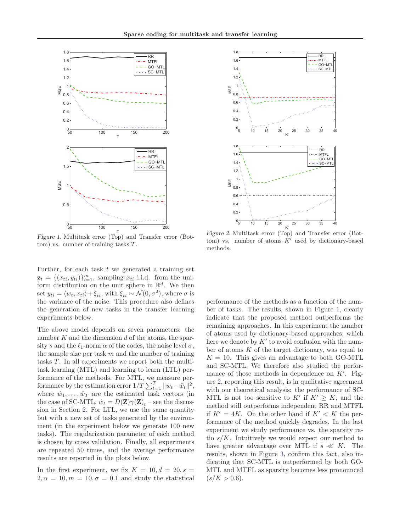

T Figure 1. Multitask error (Top) and Transfer error (Bottom) vs. number of training tasks T.

Further, for each task  $t$  we generated a training set  $\mathbf{z}_t = \{(x_{ti}, y_{ti})\}_{i=1}^m$ , sampling  $x_{ti}$  i.i.d. from the uniform distribution on the unit sphere in  $\mathbb{R}^d$ . We then set  $y_{ti} = \langle w_t, x_{ti} \rangle + \xi_{ti}$ , with  $\xi_{ti} \sim \mathcal{N}(0, \sigma^2)$ , where  $\sigma$  is the variance of the noise. This procedure also defines the generation of new tasks in the transfer learning experiments below.

The above model depends on seven parameters: the number  $K$  and the dimension  $d$  of the atoms, the sparsity s and the  $\ell_1$ -norm  $\alpha$  of the codes, the noise level  $\sigma$ , the sample size per task  $m$  and the number of training tasks T. In all experiments we report both the multitask learning (MTL) and learning to learn (LTL) performance of the methods. For MTL, we measure performance by the estimation error  $1/T \sum_{t=1}^{T} ||w_t - \hat{w}_t||^2$ , where  $\hat{w}_1, \ldots, \hat{w}_T$  are the estimated task vectors (in the case of SC-MTL,  $\hat{w}_t = D(\mathbf{Z})\gamma(\mathbf{Z})_t$  – see the discussion in Section 2. For LTL, we use the same quantity but with a new set of tasks generated by the environment (in the experiment below we generate 100 new tasks). The regularization parameter of each method is chosen by cross validation. Finally, all experiments are repeated 50 times, and the average performance results are reported in the plots below.

In the first experiment, we fix  $K = 10, d = 20, s =$  $2, \alpha = 10, m = 10, \sigma = 0.1$  and study the statistical



Figure 2. Multitask error (Top) and Transfer error (Bottom) vs. number of atoms  $K'$  used by dictionary-based methods.

performance of the methods as a function of the number of tasks. The results, shown in Figure 1, clearly indicate that the proposed method outperforms the remaining approaches. In this experiment the number of atoms used by dictionary-based approaches, which here we denote by  $K'$  to avoid confusion with the number of atoms  $K$  of the target dictionary, was equal to  $K = 10$ . This gives an advantage to both GO-MTL and SC-MTL. We therefore also studied the performance of those methods in dependence on  $K'$ . Figure 2, reporting this result, is in qualitative agreement with our theoretical analysis: the performance of SC-MTL is not too sensitive to  $K'$  if  $K' \geq K$ , and the method still outperforms independent RR and MTFL if  $K' = 4K$ . On the other hand if  $K' < K$  the performance of the method quickly degrades. In the last experiment we study performance vs. the sparsity ratio  $s/K$ . Intuitively we would expect our method to have greater advantage over MTL if  $s \ll K$ . The results, shown in Figure 3, confirm this fact, also indicating that SC-MTL is outperformed by both GO-MTL and MTFL as sparsity becomes less pronounced  $(s/K > 0.6)$ .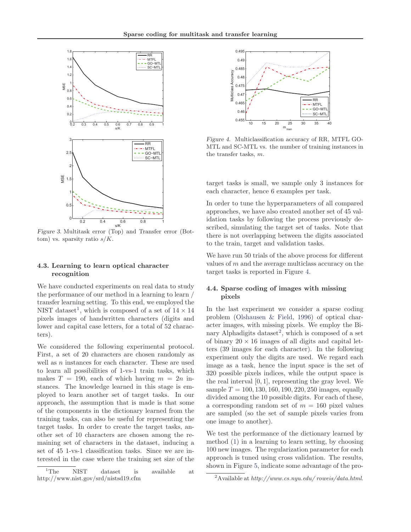

Figure 3. Multitask error (Top) and Transfer error (Bottom) vs. sparsity ratio  $s/K$ .

# 4.3. Learning to learn optical character recognition

We have conducted experiments on real data to study the performance of our method in a learning to learn / transfer learning setting. To this end, we employed the NIST dataset<sup>1</sup>, which is composed of a set of  $14 \times 14$ pixels images of handwritten characters (digits and lower and capital case letters, for a total of 52 characters).

We considered the following experimental protocol. First, a set of 20 characters are chosen randomly as well as  $n$  instances for each character. These are used to learn all possibilities of 1-vs-1 train tasks, which makes  $T = 190$ , each of which having  $m = 2n$  instances. The knowledge learned in this stage is employed to learn another set of target tasks. In our approach, the assumption that is made is that some of the components in the dictionary learned from the training tasks, can also be useful for representing the target tasks. In order to create the target tasks, another set of 10 characters are chosen among the remaining set of characters in the dataset, inducing a set of 45 1-vs-1 classification tasks. Since we are interested in the case where the training set size of the



Figure 4. Multiclassification accuracy of RR, MTFL GO-MTL and SC-MTL vs. the number of training instances in the transfer tasks, m.

target tasks is small, we sample only 3 instances for each character, hence 6 examples per task.

In order to tune the hyperparameters of all compared approaches, we have also created another set of 45 validation tasks by following the process previously described, simulating the target set of tasks. Note that there is not overlapping between the digits associated to the train, target and validation tasks.

We have run 50 trials of the above process for different values of m and the average multiclass accuracy on the target tasks is reported in Figure 4.

# 4.4. Sparse coding of images with missing pixels

In the last experiment we consider a sparse coding problem (Olshausen & Field, 1996) of optical character images, with missing pixels. We employ the Binary Alphadigits dataset<sup>2</sup>, which is composed of a set of binary  $20 \times 16$  images of all digits and capital letters (39 images for each character). In the following experiment only the digits are used. We regard each image as a task, hence the input space is the set of 320 possible pixels indices, while the output space is the real interval [0, 1], representing the gray level. We sample  $T = 100, 130, 160, 190, 220, 250$  images, equally divided among the 10 possible digits. For each of these, a corresponding random set of  $m = 160$  pixel values are sampled (so the set of sample pixels varies from one image to another).

We test the performance of the dictionary learned by method (1) in a learning to learn setting, by choosing 100 new images. The regularization parameter for each approach is tuned using cross validation. The results, shown in Figure 5, indicate some advantage of the pro-

<sup>2</sup>Available at *http://www.cs.nyu.edu/ roweis/data.html*.

<sup>1</sup>The NIST dataset is available at http://www.nist.gov/srd/nistsd19.cfm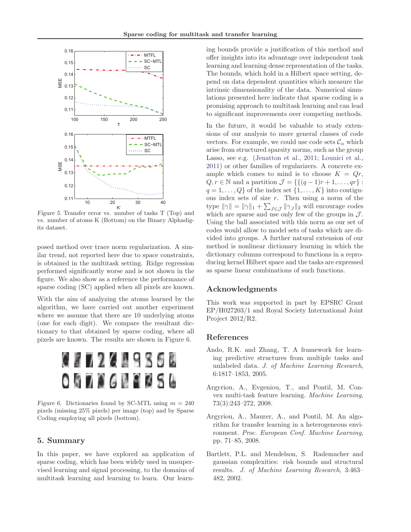

Figure 5. Transfer error vs. number of tasks T (Top) and vs. number of atoms K (Bottom) on the Binary Alphadigits dataset.

posed method over trace norm regularization. A similar trend, not reported here due to space constraints, is obtained in the multitask setting. Ridge regression performed significantly worse and is not shown in the figure. We also show as a reference the performance of sparse coding (SC) applied when all pixels are known.

With the aim of analyzing the atoms learned by the algorithm, we have carried out another experiment where we assume that there are 10 underlying atoms (one for each digit). We compare the resultant dictionary to that obtained by sparse coding, where all pixels are known. The results are shown in Figure 6.



Figure 6. Dictionaries found by SC-MTL using  $m = 240$ pixels (missing 25% pixels) per image (top) and by Sparse Coding employing all pixels (bottom).

# 5. Summary

In this paper, we have explored an application of sparse coding, which has been widely used in unsupervised learning and signal processing, to the domains of multitask learning and learning to learn. Our learning bounds provide a justification of this method and offer insights into its advantage over independent task learning and learning dense representation of the tasks. The bounds, which hold in a Hilbert space setting, depend on data dependent quantities which measure the intrinsic dimensionality of the data. Numerical simulations presented here indicate that sparse coding is a promising approach to multitask learning and can lead to significant improvements over competing methods.

In the future, it would be valuable to study extensions of our analysis to more general classes of code vectors. For example, we could use code sets  $\mathcal{C}_{\alpha}$  which arise from structured sparsity norms, such as the group Lasso, see e.g. (Jenatton et al., 2011; Lounici et al., 2011) or other families of regularizers. A concrete example which comes to mind is to choose  $K = Qr$ ,  $Q, r \in \mathbb{N}$  and a partition  $\mathcal{J} = \{ \{ (q-1)r+1, \ldots, qr \} :$  $q = 1, \ldots, Q$  of the index set  $\{1, \ldots, K\}$  into contiguous index sets of size  $r$ . Then using a norm of the type  $\|\gamma\| = \|\gamma\|_1 + \sum_{J \in \mathcal{J}} \|\gamma_J\|_2$  will encourage codes which are sparse and use only few of the groups in  $\mathcal{J}$ . Using the ball associated with this norm as our set of codes would allow to model sets of tasks which are divided into groups. A further natural extension of our method is nonlinear dictionary learning in which the dictionary columns correspond to functions in a reproducing kernel Hilbert space and the tasks are expressed as sparse linear combinations of such functions.

# Acknowledgments

This work was supported in part by EPSRC Grant EP/H027203/1 and Royal Society International Joint Project 2012/R2.

# References

- Ando, R.K. and Zhang, T. A framework for learning predictive structures from multiple tasks and unlabeled data. *J. of Machine Learning Research*, 6:1817–1853, 2005.
- Argyriou, A., Evgeniou, T., and Pontil, M. Convex multi-task feature learning. *Machine Learning*, 73(3):243–272, 2008.
- Argyriou, A., Maurer, A., and Pontil, M. An algorithm for transfer learning in a heterogeneous environment. *Proc. European Conf. Machine Learning*, pp. 71–85, 2008.
- Bartlett, P.L. and Mendelson, S. Rademacher and gaussian complexities: risk bounds and structural results. *J. of Machine Learning Research*, 3:463– 482, 2002.